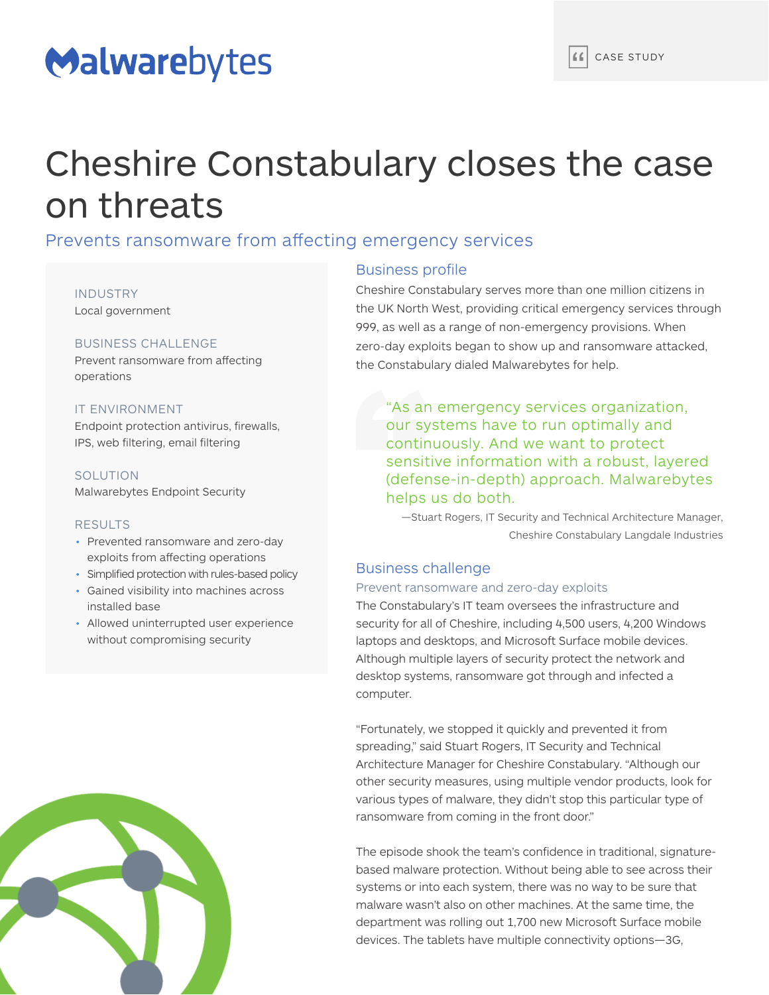# Malwarebytes

# Cheshire Constabulary closes the case on threats

# Prevents ransomware from affecting emergency services

INDUSTRY Local government

#### BUSINESS CHALLENGE

Prevent ransomware from affecting operations

#### IT ENVIRONMENT

Endpoint protection antivirus, firewalls, IPS, web filtering, email filtering

#### SOLUTION

Malwarebytes Endpoint Security

#### RESULTS

installed base

- Prevented ransomware and zero-day exploits from affecting operations
- Simplified protection with rules-based policy • Gained visibility into machines across
- Allowed uninterrupted user experience without compromising security



## Business profile

Cheshire Constabulary serves more than one million citizens in the UK North West, providing critical emergency services through 999, as well as a range of non-emergency provisions. When zero-day exploits began to show up and ransomware attacked, the Constabulary dialed Malwarebytes for help.

"As an emergency services organization, our systems have to run optimally and continuously. And we want to protect sensitive information with a robust, layered (defense-in-depth) approach. Malwarebytes helps us do both.

—Stuart Rogers, IT Security and Technical Architecture Manager, Cheshire Constabulary Langdale Industries

# Business challenge

#### Prevent ransomware and zero-day exploits

The Constabulary's IT team oversees the infrastructure and security for all of Cheshire, including 4,500 users, 4,200 Windows laptops and desktops, and Microsoft Surface mobile devices. Although multiple layers of security protect the network and desktop systems, ransomware got through and infected a computer.

"Fortunately, we stopped it quickly and prevented it from spreading," said Stuart Rogers, IT Security and Technical Architecture Manager for Cheshire Constabulary. "Although our other security measures, using multiple vendor products, look for various types of malware, they didn't stop this particular type of ransomware from coming in the front door."

The episode shook the team's confidence in traditional, signaturebased malware protection. Without being able to see across their systems or into each system, there was no way to be sure that malware wasn't also on other machines. At the same time, the department was rolling out 1,700 new Microsoft Surface mobile devices. The tablets have multiple connectivity options—3G,